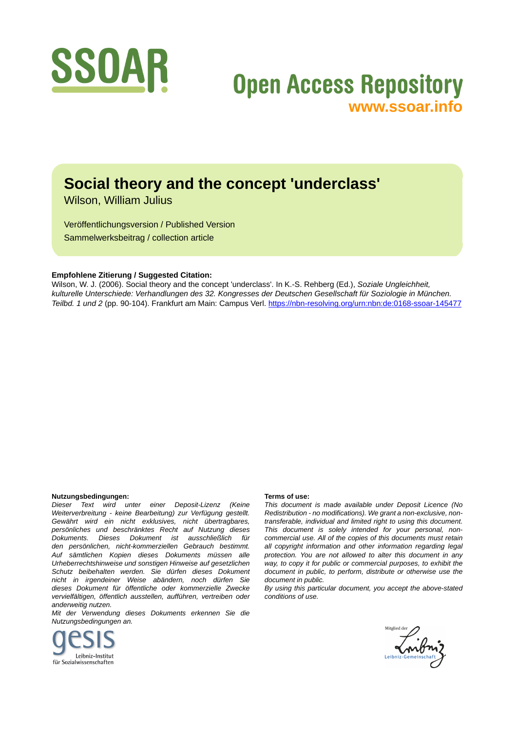

# **Open Access Repository [www.ssoar.info](http://www.ssoar.info)**

# **Social theory and the concept 'underclass'**

Wilson, William Julius

Veröffentlichungsversion / Published Version Sammelwerksbeitrag / collection article

# **Empfohlene Zitierung / Suggested Citation:**

Wilson, W. J. (2006). Social theory and the concept 'underclass'. In K.-S. Rehberg (Ed.), *Soziale Ungleichheit, kulturelle Unterschiede: Verhandlungen des 32. Kongresses der Deutschen Gesellschaft für Soziologie in München. Teilbd. 1 und 2* (pp. 90-104). Frankfurt am Main: Campus Verl. <https://nbn-resolving.org/urn:nbn:de:0168-ssoar-145477>

#### **Nutzungsbedingungen:**

*Dieser Text wird unter einer Deposit-Lizenz (Keine Weiterverbreitung - keine Bearbeitung) zur Verfügung gestellt. Gewährt wird ein nicht exklusives, nicht übertragbares, persönliches und beschränktes Recht auf Nutzung dieses Dokuments. Dieses Dokument ist ausschließlich für den persönlichen, nicht-kommerziellen Gebrauch bestimmt. Auf sämtlichen Kopien dieses Dokuments müssen alle Urheberrechtshinweise und sonstigen Hinweise auf gesetzlichen Schutz beibehalten werden. Sie dürfen dieses Dokument nicht in irgendeiner Weise abändern, noch dürfen Sie dieses Dokument für öffentliche oder kommerzielle Zwecke vervielfältigen, öffentlich ausstellen, aufführen, vertreiben oder anderweitig nutzen.*

*Mit der Verwendung dieses Dokuments erkennen Sie die Nutzungsbedingungen an.*



#### **Terms of use:**

*This document is made available under Deposit Licence (No Redistribution - no modifications). We grant a non-exclusive, nontransferable, individual and limited right to using this document. This document is solely intended for your personal, noncommercial use. All of the copies of this documents must retain all copyright information and other information regarding legal protection. You are not allowed to alter this document in any way, to copy it for public or commercial purposes, to exhibit the document in public, to perform, distribute or otherwise use the document in public.*

*By using this particular document, you accept the above-stated conditions of use.*

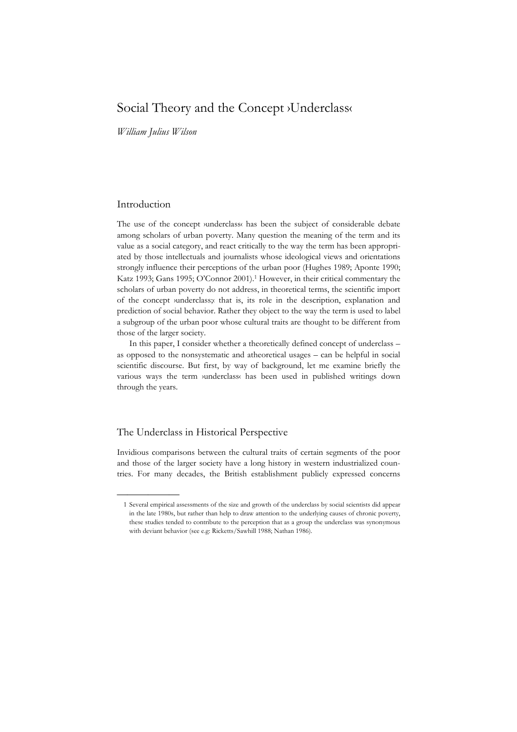# Social Theory and the Concept ›Underclass‹

*William Julius Wilson* 

# Introduction

——————

The use of the concept vunderclasse has been the subject of considerable debate among scholars of urban poverty. Many question the meaning of the term and its value as a social category, and react critically to the way the term has been appropriated by those intellectuals and journalists whose ideological views and orientations strongly influence their perceptions of the urban poor (Hughes 1989; Aponte 1990; Katz 1993; Gans 1995; O'Connor 2001).<sup>1</sup> However, in their critical commentary the scholars of urban poverty do not address, in theoretical terms, the scientific import of the concept ›underclass;‹ that is, its role in the description, explanation and prediction of social behavior. Rather they object to the way the term is used to label a subgroup of the urban poor whose cultural traits are thought to be different from those of the larger society.

In this paper, I consider whether a theoretically defined concept of underclass – as opposed to the nonsystematic and atheoretical usages – can be helpful in social scientific discourse. But first, by way of background, let me examine briefly the various ways the term *y*underclass<sup>{2}</sup> has been used in published writings down through the years.

# The Underclass in Historical Perspective

Invidious comparisons between the cultural traits of certain segments of the poor and those of the larger society have a long history in western industrialized countries. For many decades, the British establishment publicly expressed concerns

 <sup>1</sup> Several empirical assessments of the size and growth of the underclass by social scientists did appear in the late 1980s, but rather than help to draw attention to the underlying causes of chronic poverty, these studies tended to contribute to the perception that as a group the underclass was synonymous with deviant behavior (see e.g: Ricketts/Sawhill 1988; Nathan 1986).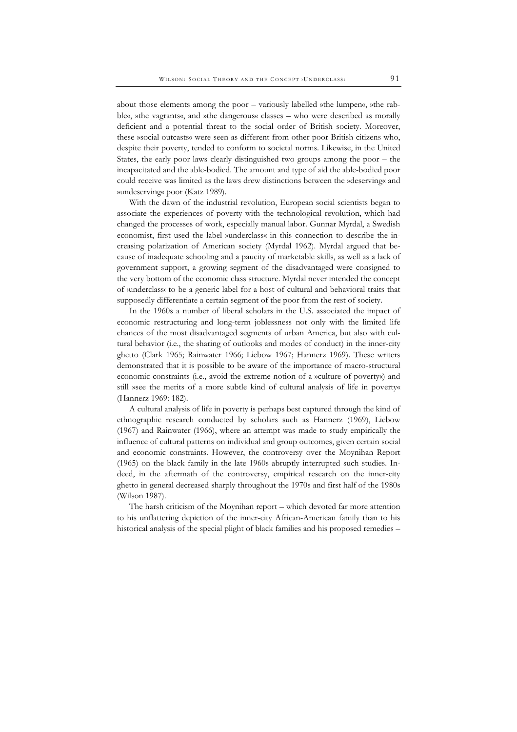about those elements among the poor – variously labelled »the lumpen«, »the rabble«, »the vagrants«, and »the dangerous« classes – who were described as morally deficient and a potential threat to the social order of British society. Moreover, these »social outcasts« were seen as different from other poor British citizens who, despite their poverty, tended to conform to societal norms. Likewise, in the United States, the early poor laws clearly distinguished two groups among the poor – the incapacitated and the able-bodied. The amount and type of aid the able-bodied poor could receive was limited as the laws drew distinctions between the »deserving« and »undeserving« poor (Katz 1989).

With the dawn of the industrial revolution, European social scientists began to associate the experiences of poverty with the technological revolution, which had changed the processes of work, especially manual labor. Gunnar Myrdal, a Swedish economist, first used the label »underclass« in this connection to describe the increasing polarization of American society (Myrdal 1962). Myrdal argued that because of inadequate schooling and a paucity of marketable skills, as well as a lack of government support, a growing segment of the disadvantaged were consigned to the very bottom of the economic class structure. Myrdal never intended the concept of ›underclass‹ to be a generic label for a host of cultural and behavioral traits that supposedly differentiate a certain segment of the poor from the rest of society.

In the 1960s a number of liberal scholars in the U.S. associated the impact of economic restructuring and long-term joblessness not only with the limited life chances of the most disadvantaged segments of urban America, but also with cultural behavior (i.e., the sharing of outlooks and modes of conduct) in the inner-city ghetto (Clark 1965; Rainwater 1966; Liebow 1967; Hannerz 1969). These writers demonstrated that it is possible to be aware of the importance of macro-structural economic constraints (i.e., avoid the extreme notion of a »culture of poverty«) and still »see the merits of a more subtle kind of cultural analysis of life in poverty« (Hannerz 1969: 182).

A cultural analysis of life in poverty is perhaps best captured through the kind of ethnographic research conducted by scholars such as Hannerz (1969), Liebow (1967) and Rainwater (1966), where an attempt was made to study empirically the influence of cultural patterns on individual and group outcomes, given certain social and economic constraints. However, the controversy over the Moynihan Report (1965) on the black family in the late 1960s abruptly interrupted such studies. Indeed, in the aftermath of the controversy, empirical research on the inner-city ghetto in general decreased sharply throughout the 1970s and first half of the 1980s (Wilson 1987).

The harsh criticism of the Moynihan report – which devoted far more attention to his unflattering depiction of the inner-city African-American family than to his historical analysis of the special plight of black families and his proposed remedies –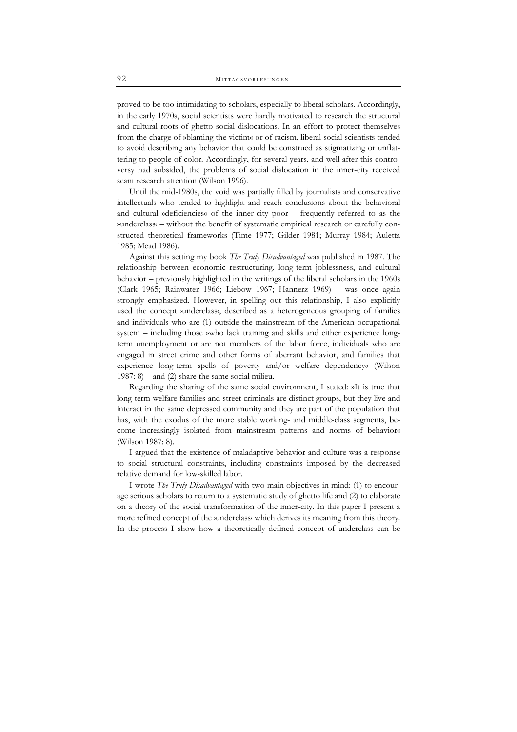proved to be too intimidating to scholars, especially to liberal scholars. Accordingly, in the early 1970s, social scientists were hardly motivated to research the structural and cultural roots of ghetto social dislocations. In an effort to protect themselves from the charge of »blaming the victim« or of racism, liberal social scientists tended to avoid describing any behavior that could be construed as stigmatizing or unflattering to people of color. Accordingly, for several years, and well after this controversy had subsided, the problems of social dislocation in the inner-city received scant research attention (Wilson 1996).

Until the mid-1980s, the void was partially filled by journalists and conservative intellectuals who tended to highlight and reach conclusions about the behavioral and cultural »deficiencies« of the inner-city poor – frequently referred to as the »underclass‹ – without the benefit of systematic empirical research or carefully constructed theoretical frameworks (Time 1977; Gilder 1981; Murray 1984; Auletta 1985; Mead 1986).

Against this setting my book *The Truly Disadvantaged* was published in 1987. The relationship between economic restructuring, long-term joblessness, and cultural behavior – previously highlighted in the writings of the liberal scholars in the 1960s (Clark 1965; Rainwater 1966; Liebow 1967; Hannerz 1969) – was once again strongly emphasized. However, in spelling out this relationship, I also explicitly used the concept *yunderclass*, described as a heterogeneous grouping of families and individuals who are (1) outside the mainstream of the American occupational system – including those »who lack training and skills and either experience longterm unemployment or are not members of the labor force, individuals who are engaged in street crime and other forms of aberrant behavior, and families that experience long-term spells of poverty and/or welfare dependency« (Wilson 1987: 8) – and (2) share the same social milieu.

Regarding the sharing of the same social environment, I stated: »It is true that long-term welfare families and street criminals are distinct groups, but they live and interact in the same depressed community and they are part of the population that has, with the exodus of the more stable working- and middle-class segments, become increasingly isolated from mainstream patterns and norms of behavior« (Wilson 1987: 8).

I argued that the existence of maladaptive behavior and culture was a response to social structural constraints, including constraints imposed by the decreased relative demand for low-skilled labor.

I wrote *The Truly Disadvantaged* with two main objectives in mind: (1) to encourage serious scholars to return to a systematic study of ghetto life and (2) to elaborate on a theory of the social transformation of the inner-city. In this paper I present a more refined concept of the *y*underclass which derives its meaning from this theory. In the process I show how a theoretically defined concept of underclass can be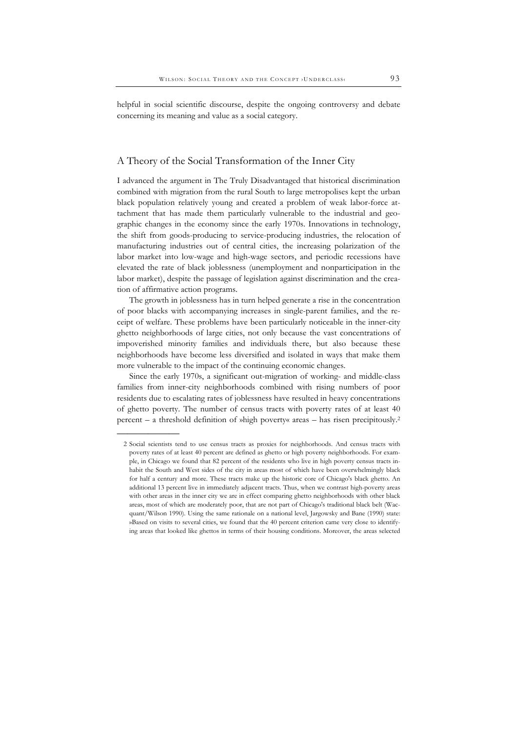helpful in social scientific discourse, despite the ongoing controversy and debate concerning its meaning and value as a social category.

# A Theory of the Social Transformation of the Inner City

I advanced the argument in The Truly Disadvantaged that historical discrimination combined with migration from the rural South to large metropolises kept the urban black population relatively young and created a problem of weak labor-force attachment that has made them particularly vulnerable to the industrial and geographic changes in the economy since the early 1970s. Innovations in technology, the shift from goods-producing to service-producing industries, the relocation of manufacturing industries out of central cities, the increasing polarization of the labor market into low-wage and high-wage sectors, and periodic recessions have elevated the rate of black joblessness (unemployment and nonparticipation in the labor market), despite the passage of legislation against discrimination and the creation of affirmative action programs.

The growth in joblessness has in turn helped generate a rise in the concentration of poor blacks with accompanying increases in single-parent families, and the receipt of welfare. These problems have been particularly noticeable in the inner-city ghetto neighborhoods of large cities, not only because the vast concentrations of impoverished minority families and individuals there, but also because these neighborhoods have become less diversified and isolated in ways that make them more vulnerable to the impact of the continuing economic changes.

Since the early 1970s, a significant out-migration of working- and middle-class families from inner-city neighborhoods combined with rising numbers of poor residents due to escalating rates of joblessness have resulted in heavy concentrations of ghetto poverty. The number of census tracts with poverty rates of at least 40 percent – a threshold definition of »high poverty« areas – has risen precipitously.2

——————————————<br>————————————————————

 <sup>2</sup> Social scientists tend to use census tracts as proxies for neighborhoods. And census tracts with poverty rates of at least 40 percent are defined as ghetto or high poverty neighborhoods. For example, in Chicago we found that 82 percent of the residents who live in high poverty census tracts inhabit the South and West sides of the city in areas most of which have been overwhelmingly black for half a century and more. These tracts make up the historic core of Chicago's black ghetto. An additional 13 percent live in immediately adjacent tracts. Thus, when we contrast high-poverty areas with other areas in the inner city we are in effect comparing ghetto neighborhoods with other black areas, most of which are moderately poor, that are not part of Chicago's traditional black belt (Wacquant/Wilson 1990). Using the same rationale on a national level, Jargowsky and Bane (1990) state: »Based on visits to several cities, we found that the 40 percent criterion came very close to identifying areas that looked like ghettos in terms of their housing conditions. Moreover, the areas selected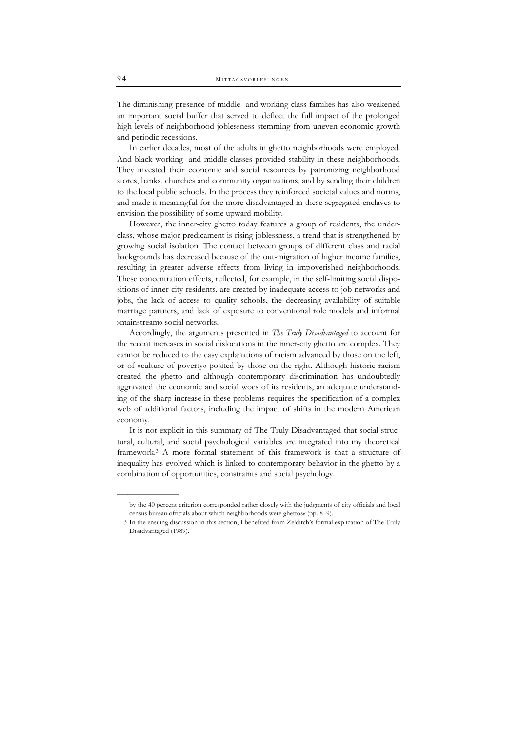The diminishing presence of middle- and working-class families has also weakened an important social buffer that served to deflect the full impact of the prolonged high levels of neighborhood joblessness stemming from uneven economic growth and periodic recessions.

In earlier decades, most of the adults in ghetto neighborhoods were employed. And black working- and middle-classes provided stability in these neighborhoods. They invested their economic and social resources by patronizing neighborhood stores, banks, churches and community organizations, and by sending their children to the local public schools. In the process they reinforced societal values and norms, and made it meaningful for the more disadvantaged in these segregated enclaves to envision the possibility of some upward mobility.

However, the inner-city ghetto today features a group of residents, the underclass, whose major predicament is rising joblessness, a trend that is strengthened by growing social isolation. The contact between groups of different class and racial backgrounds has decreased because of the out-migration of higher income families, resulting in greater adverse effects from living in impoverished neighborhoods. These concentration effects, reflected, for example, in the self-limiting social dispositions of inner-city residents, are created by inadequate access to job networks and jobs, the lack of access to quality schools, the decreasing availability of suitable marriage partners, and lack of exposure to conventional role models and informal »mainstream« social networks.

Accordingly, the arguments presented in *The Truly Disadvantaged* to account for the recent increases in social dislocations in the inner-city ghetto are complex. They cannot be reduced to the easy explanations of racism advanced by those on the left, or of »culture of poverty« posited by those on the right. Although historic racism created the ghetto and although contemporary discrimination has undoubtedly aggravated the economic and social woes of its residents, an adequate understanding of the sharp increase in these problems requires the specification of a complex web of additional factors, including the impact of shifts in the modern American economy.

It is not explicit in this summary of The Truly Disadvantaged that social structural, cultural, and social psychological variables are integrated into my theoretical framework.3 A more formal statement of this framework is that a structure of inequality has evolved which is linked to contemporary behavior in the ghetto by a combination of opportunities, constraints and social psychology.

——————

by the 40 percent criterion corresponded rather closely with the judgments of city officials and local census bureau officials about which neighborhoods were ghettos« (pp. 8–9).

 <sup>3</sup> In the ensuing discussion in this section, I benefited from Zelditch's formal explication of The Truly Disadvantaged (1989).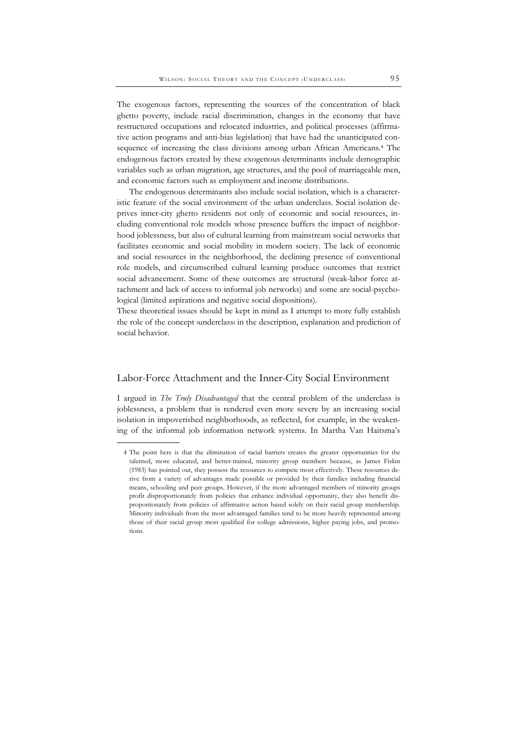The exogenous factors, representing the sources of the concentration of black ghetto poverty, include racial discrimination, changes in the economy that have restructured occupations and relocated industries, and political processes (affirmative action programs and anti-bias legislation) that have had the unanticipated consequence of increasing the class divisions among urban African Americans.4 The endogenous factors created by these exogenous determinants include demographic variables such as urban migration, age structures, and the pool of marriageable men, and economic factors such as employment and income distributions.

The endogenous determinants also include social isolation, which is a characteristic feature of the social environment of the urban underclass. Social isolation deprives inner-city ghetto residents not only of economic and social resources, including conventional role models whose presence buffers the impact of neighborhood joblessness, but also of cultural learning from mainstream social networks that facilitates economic and social mobility in modern society. The lack of economic and social resources in the neighborhood, the declining presence of conventional role models, and circumscribed cultural learning produce outcomes that restrict social advancement. Some of these outcomes are structural (weak-labor force attachment and lack of access to informal job networks) and some are social-psychological (limited aspirations and negative social dispositions).

These theoretical issues should be kept in mind as I attempt to more fully establish the role of the concept vunderclass‹ in the description, explanation and prediction of social behavior.

# Labor-Force Attachment and the Inner-City Social Environment

I argued in *The Truly Disadvantaged* that the central problem of the underclass is joblessness, a problem that is rendered even more severe by an increasing social isolation in impoverished neighborhoods, as reflected, for example, in the weakening of the informal job information network systems. In Martha Van Haitsma's

——————

 <sup>4</sup> The point here is that the elimination of racial barriers creates the greater opportunities for the talented, more educated, and better-trained, minority group members because, as James Fiskin (1983) has pointed out, they possess the resources to compete most effectively. These resources derive from a variety of advantages made possible or provided by their families including financial means, schooling and peer groups. However, if the more advantaged members of minority groups profit disproportionately from policies that enhance individual opportunity, they also benefit disproportionately from policies of affirmative action based solely on their racial group membership. Minority individuals from the most advantaged families tend to be more heavily represented among those of their racial group most qualified for college admissions, higher paying jobs, and promotions.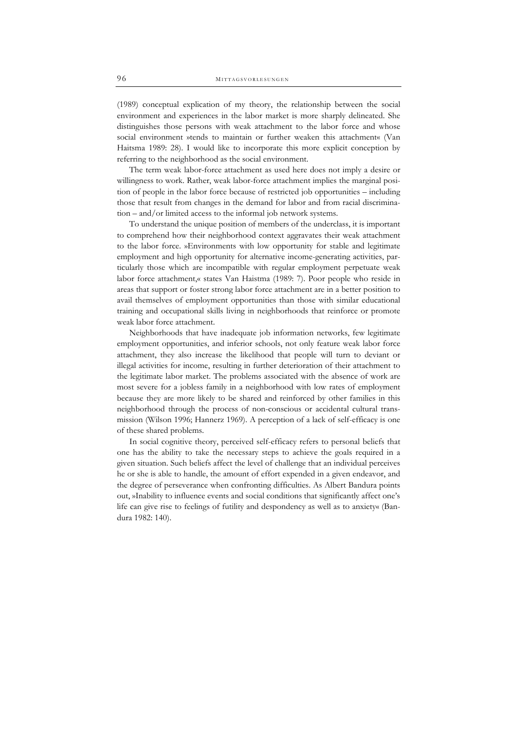(1989) conceptual explication of my theory, the relationship between the social environment and experiences in the labor market is more sharply delineated. She distinguishes those persons with weak attachment to the labor force and whose social environment »tends to maintain or further weaken this attachment« (Van Haitsma 1989: 28). I would like to incorporate this more explicit conception by referring to the neighborhood as the social environment.

The term weak labor-force attachment as used here does not imply a desire or willingness to work. Rather, weak labor-force attachment implies the marginal position of people in the labor force because of restricted job opportunities – including those that result from changes in the demand for labor and from racial discrimination – and/or limited access to the informal job network systems.

To understand the unique position of members of the underclass, it is important to comprehend how their neighborhood context aggravates their weak attachment to the labor force. »Environments with low opportunity for stable and legitimate employment and high opportunity for alternative income-generating activities, particularly those which are incompatible with regular employment perpetuate weak labor force attachment,« states Van Haistma (1989: 7). Poor people who reside in areas that support or foster strong labor force attachment are in a better position to avail themselves of employment opportunities than those with similar educational training and occupational skills living in neighborhoods that reinforce or promote weak labor force attachment.

Neighborhoods that have inadequate job information networks, few legitimate employment opportunities, and inferior schools, not only feature weak labor force attachment, they also increase the likelihood that people will turn to deviant or illegal activities for income, resulting in further deterioration of their attachment to the legitimate labor market. The problems associated with the absence of work are most severe for a jobless family in a neighborhood with low rates of employment because they are more likely to be shared and reinforced by other families in this neighborhood through the process of non-conscious or accidental cultural transmission (Wilson 1996; Hannerz 1969). A perception of a lack of self-efficacy is one of these shared problems.

In social cognitive theory, perceived self-efficacy refers to personal beliefs that one has the ability to take the necessary steps to achieve the goals required in a given situation. Such beliefs affect the level of challenge that an individual perceives he or she is able to handle, the amount of effort expended in a given endeavor, and the degree of perseverance when confronting difficulties. As Albert Bandura points out, »Inability to influence events and social conditions that significantly affect one's life can give rise to feelings of futility and despondency as well as to anxiety« (Bandura 1982: 140).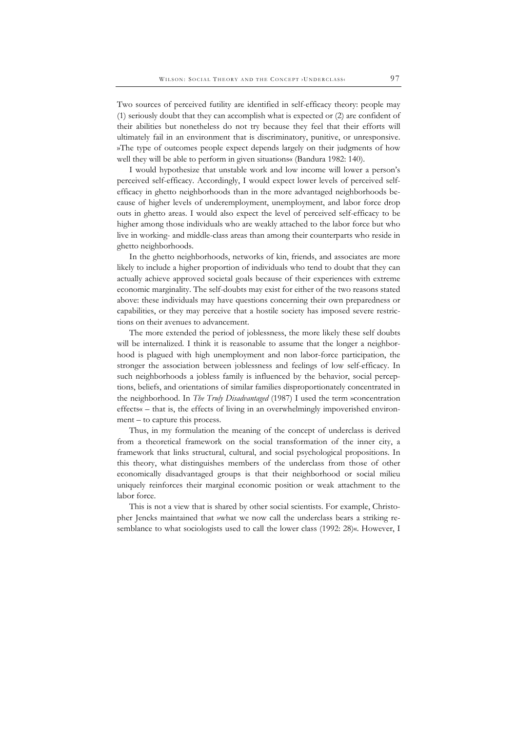Two sources of perceived futility are identified in self-efficacy theory: people may (1) seriously doubt that they can accomplish what is expected or (2) are confident of their abilities but nonetheless do not try because they feel that their efforts will ultimately fail in an environment that is discriminatory, punitive, or unresponsive. »The type of outcomes people expect depends largely on their judgments of how well they will be able to perform in given situations« (Bandura 1982: 140).

I would hypothesize that unstable work and low income will lower a person's perceived self-efficacy. Accordingly, I would expect lower levels of perceived selfefficacy in ghetto neighborhoods than in the more advantaged neighborhoods because of higher levels of underemployment, unemployment, and labor force drop outs in ghetto areas. I would also expect the level of perceived self-efficacy to be higher among those individuals who are weakly attached to the labor force but who live in working- and middle-class areas than among their counterparts who reside in ghetto neighborhoods.

In the ghetto neighborhoods, networks of kin, friends, and associates are more likely to include a higher proportion of individuals who tend to doubt that they can actually achieve approved societal goals because of their experiences with extreme economic marginality. The self-doubts may exist for either of the two reasons stated above: these individuals may have questions concerning their own preparedness or capabilities, or they may perceive that a hostile society has imposed severe restrictions on their avenues to advancement.

The more extended the period of joblessness, the more likely these self doubts will be internalized. I think it is reasonable to assume that the longer a neighborhood is plagued with high unemployment and non labor-force participation, the stronger the association between joblessness and feelings of low self-efficacy. In such neighborhoods a jobless family is influenced by the behavior, social perceptions, beliefs, and orientations of similar families disproportionately concentrated in the neighborhood. In *The Truly Disadvantaged* (1987) I used the term »concentration effects« – that is, the effects of living in an overwhelmingly impoverished environment – to capture this process.

Thus, in my formulation the meaning of the concept of underclass is derived from a theoretical framework on the social transformation of the inner city, a framework that links structural, cultural, and social psychological propositions. In this theory, what distinguishes members of the underclass from those of other economically disadvantaged groups is that their neighborhood or social milieu uniquely reinforces their marginal economic position or weak attachment to the labor force.

This is not a view that is shared by other social scientists. For example, Christopher Jencks maintained that »what we now call the underclass bears a striking resemblance to what sociologists used to call the lower class (1992: 28)«. However, I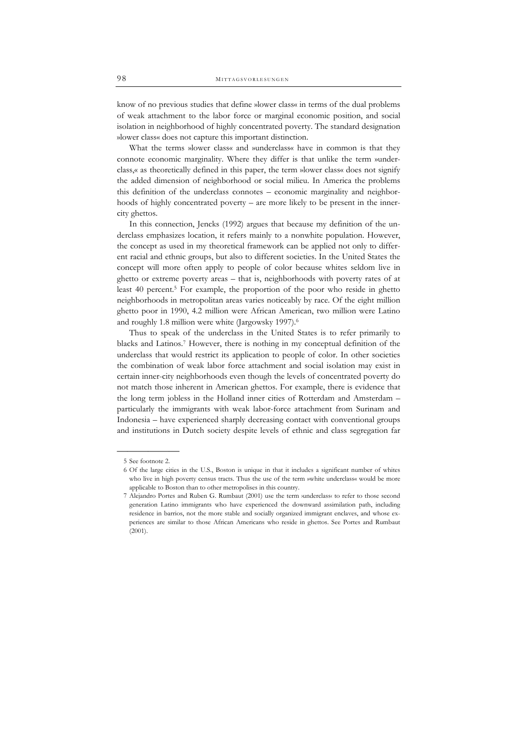know of no previous studies that define »lower class« in terms of the dual problems of weak attachment to the labor force or marginal economic position, and social isolation in neighborhood of highly concentrated poverty. The standard designation »lower class« does not capture this important distinction.

What the terms »lower class« and »underclass« have in common is that they connote economic marginality. Where they differ is that unlike the term »underclass,« as theoretically defined in this paper, the term »lower class« does not signify the added dimension of neighborhood or social milieu. In America the problems this definition of the underclass connotes – economic marginality and neighborhoods of highly concentrated poverty – are more likely to be present in the innercity ghettos.

In this connection, Jencks (1992) argues that because my definition of the underclass emphasizes location, it refers mainly to a nonwhite population. However, the concept as used in my theoretical framework can be applied not only to different racial and ethnic groups, but also to different societies. In the United States the concept will more often apply to people of color because whites seldom live in ghetto or extreme poverty areas – that is, neighborhoods with poverty rates of at least 40 percent.<sup>5</sup> For example, the proportion of the poor who reside in ghetto neighborhoods in metropolitan areas varies noticeably by race. Of the eight million ghetto poor in 1990, 4.2 million were African American, two million were Latino and roughly 1.8 million were white (Jargowsky 1997).6

Thus to speak of the underclass in the United States is to refer primarily to blacks and Latinos.7 However, there is nothing in my conceptual definition of the underclass that would restrict its application to people of color. In other societies the combination of weak labor force attachment and social isolation may exist in certain inner-city neighborhoods even though the levels of concentrated poverty do not match those inherent in American ghettos. For example, there is evidence that the long term jobless in the Holland inner cities of Rotterdam and Amsterdam – particularly the immigrants with weak labor-force attachment from Surinam and Indonesia – have experienced sharply decreasing contact with conventional groups and institutions in Dutch society despite levels of ethnic and class segregation far

<sup>——————————————&</sup>lt;br>———————————————————— 5 See footnote 2.

 <sup>6</sup> Of the large cities in the U.S., Boston is unique in that it includes a significant number of whites who live in high poverty census tracts. Thus the use of the term »white underclass« would be more applicable to Boston than to other metropolises in this country.

 <sup>7</sup> Alejandro Portes and Ruben G. Rumbaut (2001) use the term ›underclass‹ to refer to those second generation Latino immigrants who have experienced the downward assimilation path, including residence in barrios, not the more stable and socially organized immigrant enclaves, and whose experiences are similar to those African Americans who reside in ghettos. See Portes and Rumbaut (2001).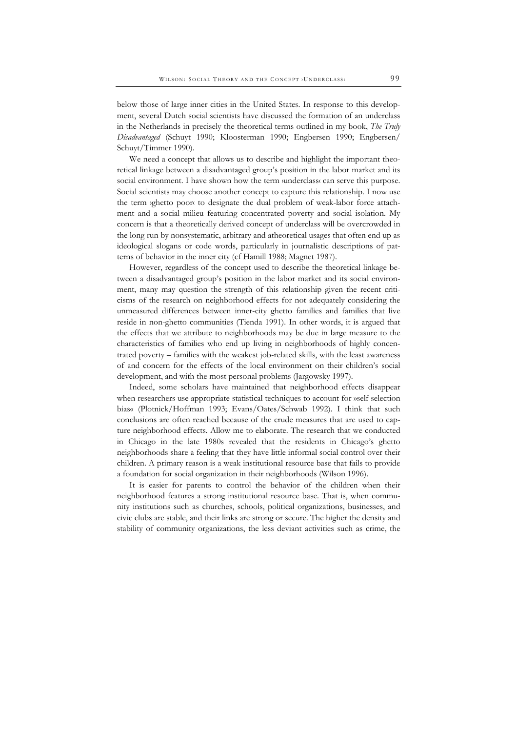below those of large inner cities in the United States. In response to this development, several Dutch social scientists have discussed the formation of an underclass in the Netherlands in precisely the theoretical terms outlined in my book, *The Truly Disadvantaged* (Schuyt 1990; Kloosterman 1990; Engbersen 1990; Engbersen/ Schuyt/Timmer 1990).

We need a concept that allows us to describe and highlight the important theoretical linkage between a disadvantaged group's position in the labor market and its social environment. I have shown how the term vunderclass can serve this purpose. Social scientists may choose another concept to capture this relationship. I now use the term *ighetto poor* to designate the dual problem of weak-labor force attachment and a social milieu featuring concentrated poverty and social isolation. My concern is that a theoretically derived concept of underclass will be overcrowded in the long run by nonsystematic, arbitrary and atheoretical usages that often end up as ideological slogans or code words, particularly in journalistic descriptions of patterns of behavior in the inner city (cf Hamill 1988; Magnet 1987).

However, regardless of the concept used to describe the theoretical linkage between a disadvantaged group's position in the labor market and its social environment, many may question the strength of this relationship given the recent criticisms of the research on neighborhood effects for not adequately considering the unmeasured differences between inner-city ghetto families and families that live reside in non-ghetto communities (Tienda 1991). In other words, it is argued that the effects that we attribute to neighborhoods may be due in large measure to the characteristics of families who end up living in neighborhoods of highly concentrated poverty – families with the weakest job-related skills, with the least awareness of and concern for the effects of the local environment on their children's social development, and with the most personal problems (Jargowsky 1997).

Indeed, some scholars have maintained that neighborhood effects disappear when researchers use appropriate statistical techniques to account for »self selection bias« (Plotnick/Hoffman 1993; Evans/Oates/Schwab 1992). I think that such conclusions are often reached because of the crude measures that are used to capture neighborhood effects. Allow me to elaborate. The research that we conducted in Chicago in the late 1980s revealed that the residents in Chicago's ghetto neighborhoods share a feeling that they have little informal social control over their children. A primary reason is a weak institutional resource base that fails to provide a foundation for social organization in their neighborhoods (Wilson 1996).

It is easier for parents to control the behavior of the children when their neighborhood features a strong institutional resource base. That is, when community institutions such as churches, schools, political organizations, businesses, and civic clubs are stable, and their links are strong or secure. The higher the density and stability of community organizations, the less deviant activities such as crime, the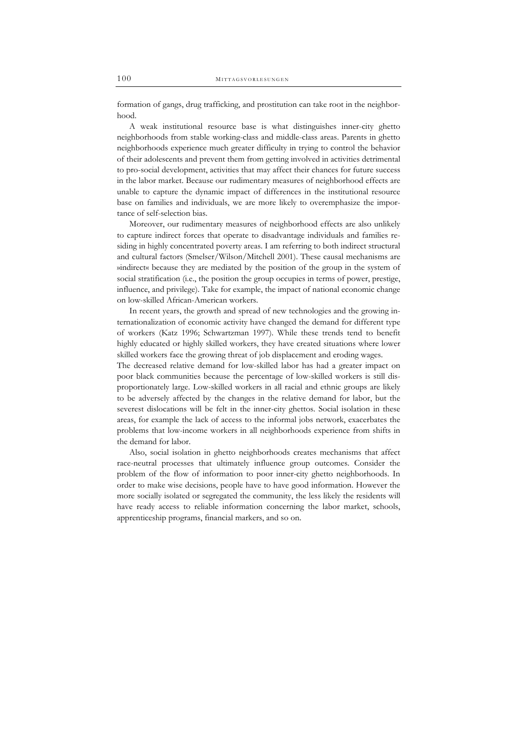formation of gangs, drug trafficking, and prostitution can take root in the neighborhood.

A weak institutional resource base is what distinguishes inner-city ghetto neighborhoods from stable working-class and middle-class areas. Parents in ghetto neighborhoods experience much greater difficulty in trying to control the behavior of their adolescents and prevent them from getting involved in activities detrimental to pro-social development, activities that may affect their chances for future success in the labor market. Because our rudimentary measures of neighborhood effects are unable to capture the dynamic impact of differences in the institutional resource base on families and individuals, we are more likely to overemphasize the importance of self-selection bias.

Moreover, our rudimentary measures of neighborhood effects are also unlikely to capture indirect forces that operate to disadvantage individuals and families residing in highly concentrated poverty areas. I am referring to both indirect structural and cultural factors (Smelser/Wilson/Mitchell 2001). These causal mechanisms are »indirect« because they are mediated by the position of the group in the system of social stratification (i.e., the position the group occupies in terms of power, prestige, influence, and privilege). Take for example, the impact of national economic change on low-skilled African-American workers.

In recent years, the growth and spread of new technologies and the growing internationalization of economic activity have changed the demand for different type of workers (Katz 1996; Schwartzman 1997). While these trends tend to benefit highly educated or highly skilled workers, they have created situations where lower skilled workers face the growing threat of job displacement and eroding wages.

The decreased relative demand for low-skilled labor has had a greater impact on poor black communities because the percentage of low-skilled workers is still disproportionately large. Low-skilled workers in all racial and ethnic groups are likely to be adversely affected by the changes in the relative demand for labor, but the severest dislocations will be felt in the inner-city ghettos. Social isolation in these areas, for example the lack of access to the informal jobs network, exacerbates the problems that low-income workers in all neighborhoods experience from shifts in the demand for labor.

Also, social isolation in ghetto neighborhoods creates mechanisms that affect race-neutral processes that ultimately influence group outcomes. Consider the problem of the flow of information to poor inner-city ghetto neighborhoods. In order to make wise decisions, people have to have good information. However the more socially isolated or segregated the community, the less likely the residents will have ready access to reliable information concerning the labor market, schools, apprenticeship programs, financial markers, and so on.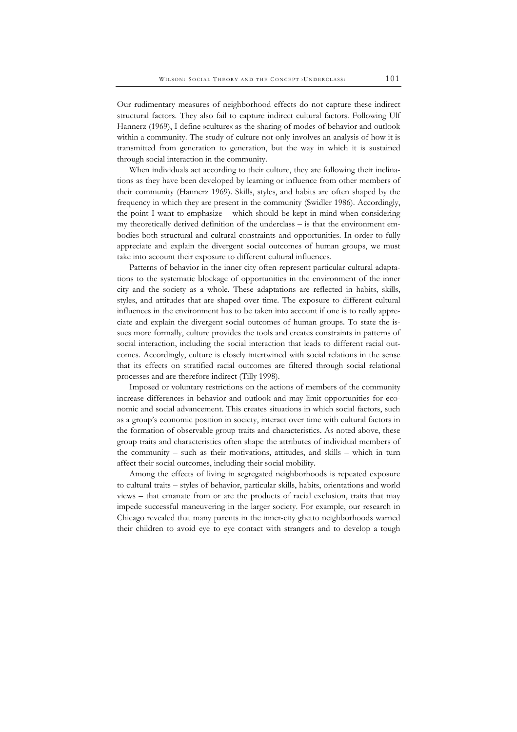Our rudimentary measures of neighborhood effects do not capture these indirect structural factors. They also fail to capture indirect cultural factors. Following Ulf Hannerz (1969), I define »culture« as the sharing of modes of behavior and outlook within a community. The study of culture not only involves an analysis of how it is transmitted from generation to generation, but the way in which it is sustained through social interaction in the community.

When individuals act according to their culture, they are following their inclinations as they have been developed by learning or influence from other members of their community (Hannerz 1969). Skills, styles, and habits are often shaped by the frequency in which they are present in the community (Swidler 1986). Accordingly, the point I want to emphasize – which should be kept in mind when considering my theoretically derived definition of the underclass – is that the environment embodies both structural and cultural constraints and opportunities. In order to fully appreciate and explain the divergent social outcomes of human groups, we must take into account their exposure to different cultural influences.

Patterns of behavior in the inner city often represent particular cultural adaptations to the systematic blockage of opportunities in the environment of the inner city and the society as a whole. These adaptations are reflected in habits, skills, styles, and attitudes that are shaped over time. The exposure to different cultural influences in the environment has to be taken into account if one is to really appreciate and explain the divergent social outcomes of human groups. To state the issues more formally, culture provides the tools and creates constraints in patterns of social interaction, including the social interaction that leads to different racial outcomes. Accordingly, culture is closely intertwined with social relations in the sense that its effects on stratified racial outcomes are filtered through social relational processes and are therefore indirect (Tilly 1998).

Imposed or voluntary restrictions on the actions of members of the community increase differences in behavior and outlook and may limit opportunities for economic and social advancement. This creates situations in which social factors, such as a group's economic position in society, interact over time with cultural factors in the formation of observable group traits and characteristics. As noted above, these group traits and characteristics often shape the attributes of individual members of the community – such as their motivations, attitudes, and skills – which in turn affect their social outcomes, including their social mobility.

Among the effects of living in segregated neighborhoods is repeated exposure to cultural traits – styles of behavior, particular skills, habits, orientations and world views – that emanate from or are the products of racial exclusion, traits that may impede successful maneuvering in the larger society. For example, our research in Chicago revealed that many parents in the inner-city ghetto neighborhoods warned their children to avoid eye to eye contact with strangers and to develop a tough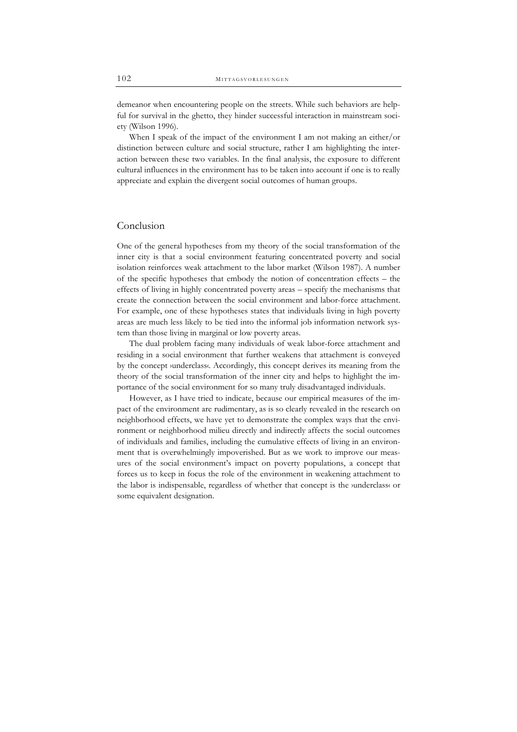demeanor when encountering people on the streets. While such behaviors are helpful for survival in the ghetto, they hinder successful interaction in mainstream society (Wilson 1996).

When I speak of the impact of the environment I am not making an either/or distinction between culture and social structure, rather I am highlighting the interaction between these two variables. In the final analysis, the exposure to different cultural influences in the environment has to be taken into account if one is to really appreciate and explain the divergent social outcomes of human groups.

### Conclusion

One of the general hypotheses from my theory of the social transformation of the inner city is that a social environment featuring concentrated poverty and social isolation reinforces weak attachment to the labor market (Wilson 1987). A number of the specific hypotheses that embody the notion of concentration effects – the effects of living in highly concentrated poverty areas – specify the mechanisms that create the connection between the social environment and labor-force attachment. For example, one of these hypotheses states that individuals living in high poverty areas are much less likely to be tied into the informal job information network system than those living in marginal or low poverty areas.

The dual problem facing many individuals of weak labor-force attachment and residing in a social environment that further weakens that attachment is conveyed by the concept vunderclass. Accordingly, this concept derives its meaning from the theory of the social transformation of the inner city and helps to highlight the importance of the social environment for so many truly disadvantaged individuals.

However, as I have tried to indicate, because our empirical measures of the impact of the environment are rudimentary, as is so clearly revealed in the research on neighborhood effects, we have yet to demonstrate the complex ways that the environment or neighborhood milieu directly and indirectly affects the social outcomes of individuals and families, including the cumulative effects of living in an environment that is overwhelmingly impoverished. But as we work to improve our measures of the social environment's impact on poverty populations, a concept that forces us to keep in focus the role of the environment in weakening attachment to the labor is indispensable, regardless of whether that concept is the *v*underclass or some equivalent designation.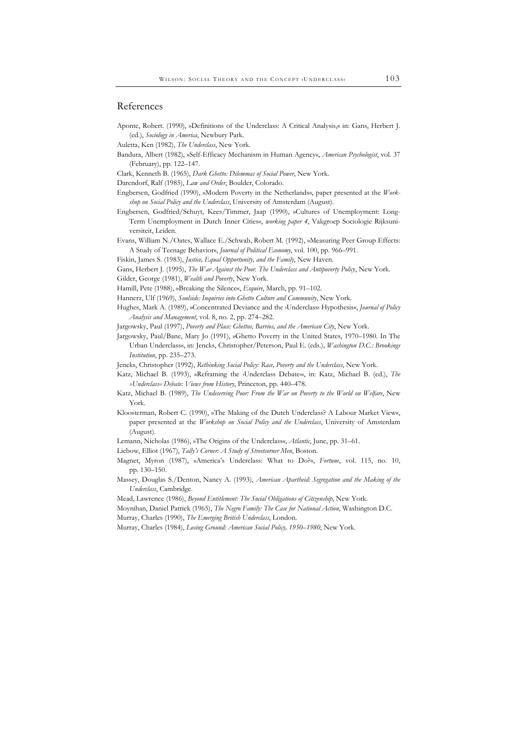# References

- Aponte, Robert. (1990), »Definitions of the Underclass: A Critical Analysis,« in: Gans, Herbert J. (ed.), *Sociology in America*, Newbury Park.
- Auletta, Ken (1982), *The Underclass*, New York.
- Bandura, Albert (1982), »Self-Efficacy Mechanism in Human Agency«, *American Psychologist*, vol. 37 (February), pp. 122–147.
- Clark, Kenneth B. (1965), *Dark Ghetto: Dilemmas of Social Power*, New York.

Darendorf, Ralf (1985), *Law and Order*, Boulder, Colorado.

- Engbersen, Godfried (1990), »Modern Poverty in the Netherlands«, paper presented at the *Workshop on Social Policy and the Underclass*, University of Amsterdam (August).
- Engbersen, Godfried/Schuyt, Kees/Timmer, Jaap (1990), »Cultures of Unemployment: Long-Term Unemployment in Dutch Inner Cities«, *working paper 4*, Vakgroep Sociologie Rijksuniversiteit, Leiden.
- Evans, William N./Oates, Wallace E./Schwab, Robert M. (1992), »Measuring Peer Group Effects: A Study of Teenage Behavior«, *Journal of Political Economy*, vol. 100, pp. 966–991.
- Fiskin, James S. (1983), *Justice, Equal Opportunity, and the Family*, New Haven.
- Gans, Herbert J. (1995), *The War Against the Poor. The Underclass and Antipoverty Policy*, New York.
- Gilder, George (1981), *Wealth and Poverty*, New York.
- Hamill, Pete (1988), »Breaking the Silence«, *Esquire*, March, pp. 91–102.
- Hannerz, Ulf (1969), *Soulside: Inquiries into Ghetto Culture and Community*, New York.
- Hughes, Mark A. (1989), »Concentrated Deviance and the <sup>J</sup>Underclass‹ Hypothesis«, *Journal of Policy Analysis and Management*, vol. 8, no. 2, pp. 274–282.
- Jargowsky, Paul (1997), *Poverty and Place: Ghettos, Barrios, and the American City*, New York.
- Jargowsky, Paul/Bane, Mary Jo (1991), »Ghetto Poverty in the United States, 1970–1980. In The Urban Underclass«, in: Jencks, Christopher/Peterson, Paul E. (eds.), *Washington D.C.: Brookings Institution*, pp. 235–273.
- Jencks, Christopher (1992), *Rethinking Social Policy: Race, Poverty and the Underclass*, New York.
- Katz, Michael B. (1993), »Reframing the ›Underclass Debate«, in: Katz, Michael B. (ed.), *The »Underclass« Debate: Views from History*, Princeton, pp. 440–478.
- Katz, Michael B. (1989), *The Undeserving Poor: From the War on Poverty to the World on Welfare*, New York.
- Kloosterman, Robert C. (1990), »The Making of the Dutch Underclass? A Labour Market View«, paper presented at the *Workshop on Social Policy and the Underclass*, University of Amsterdam (August).
- Lemann, Nicholas (1986), »The Origins of the Underclass«, *Atlantic*, June, pp. 31–61.
- Liebow, Elliot (1967), *Tally's Corner: A Study of Streetcorner Men*, Boston.
- Magnet, Myron (1987), »America's Underclass: What to Do?«, *Fortune*, vol. 115, no. 10, pp. 130–150.
- Massey, Douglas S./Denton, Nancy A. (1993), *American Apartheid: Segregation and the Making of the Underclass*, Cambridge.
- Mead, Lawrence (1986), *Beyond Entitlement: The Social Obligations of Citizenship*, New York.
- Moynihan, Daniel Patrick (1965), *The Negro Family: The Case for National Action*, Washington D.C.
- Murray, Charles (1990), *The Emerging British Underclass*, London.
- Murray, Charles (1984), *Losing Ground: American Social Policy, 1950–1980*, New York.